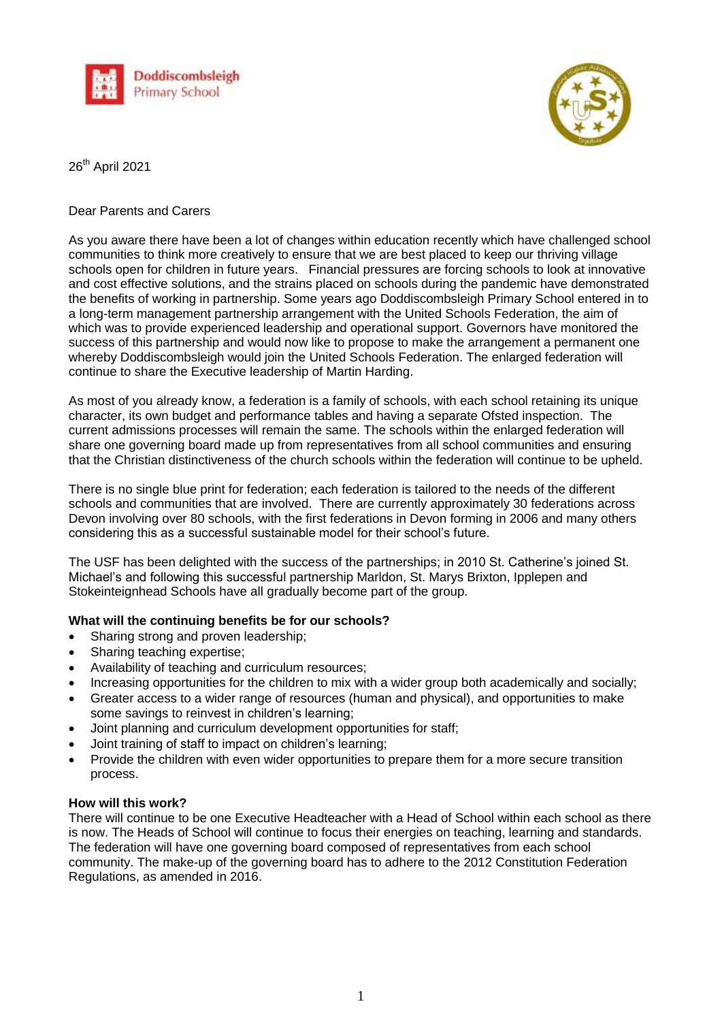



26<sup>th</sup> April 2021

## Dear Parents and Carers

As you aware there have been a lot of changes within education recently which have challenged school communities to think more creatively to ensure that we are best placed to keep our thriving village schools open for children in future years. Financial pressures are forcing schools to look at innovative and cost effective solutions, and the strains placed on schools during the pandemic have demonstrated the benefits of working in partnership. Some years ago Doddiscombsleigh Primary School entered in to a long-term management partnership arrangement with the United Schools Federation, the aim of which was to provide experienced leadership and operational support. Governors have monitored the success of this partnership and would now like to propose to make the arrangement a permanent one whereby Doddiscombsleigh would join the United Schools Federation. The enlarged federation will continue to share the Executive leadership of Martin Harding.

As most of you already know, a federation is a family of schools, with each school retaining its unique character, its own budget and performance tables and having a separate Ofsted inspection. The current admissions processes will remain the same. The schools within the enlarged federation will share one governing board made up from representatives from all school communities and ensuring that the Christian distinctiveness of the church schools within the federation will continue to be upheld.

There is no single blue print for federation; each federation is tailored to the needs of the different schools and communities that are involved. There are currently approximately 30 federations across Devon involving over 80 schools, with the first federations in Devon forming in 2006 and many others considering this as a successful sustainable model for their school's future.

The USF has been delighted with the success of the partnerships; in 2010 St. Catherine's joined St. Michael's and following this successful partnership Marldon, St. Marys Brixton, Ipplepen and Stokeinteignhead Schools have all gradually become part of the group.

## **What will the continuing benefits be for our schools?**

- Sharing strong and proven leadership;
- Sharing teaching expertise;
- Availability of teaching and curriculum resources;
- Increasing opportunities for the children to mix with a wider group both academically and socially;
- Greater access to a wider range of resources (human and physical), and opportunities to make some savings to reinvest in children's learning;
- Joint planning and curriculum development opportunities for staff;
- Joint training of staff to impact on children's learning;
- Provide the children with even wider opportunities to prepare them for a more secure transition process.

## **How will this work?**

There will continue to be one Executive Headteacher with a Head of School within each school as there is now. The Heads of School will continue to focus their energies on teaching, learning and standards. The federation will have one governing board composed of representatives from each school community. The make-up of the governing board has to adhere to the 2012 Constitution Federation Regulations, as amended in 2016.